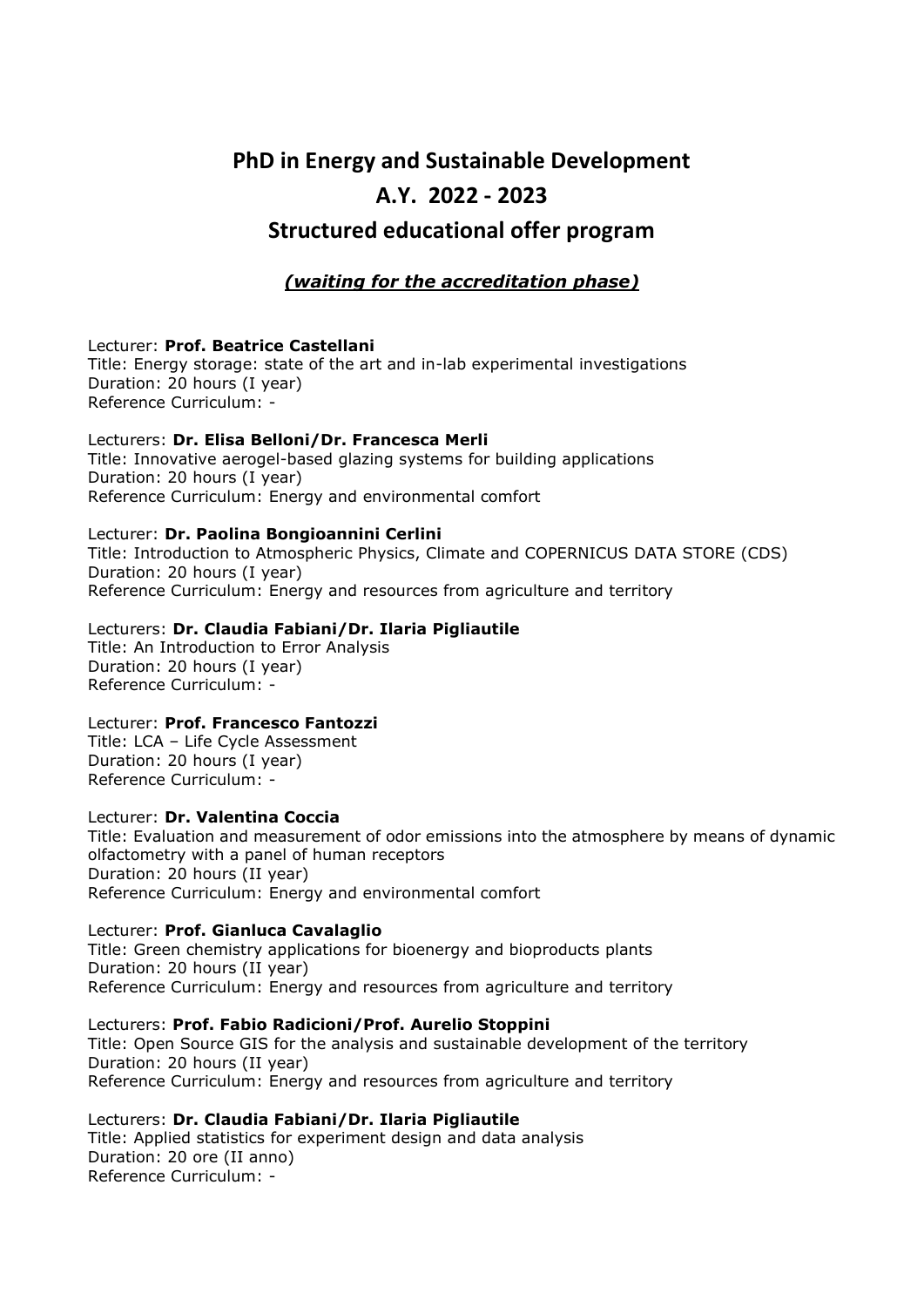# **PhD in Energy and Sustainable Development A.Y. 2022 - 2023 Structured educational offer program**

## *(waiting for the accreditation phase)*

### Lecturer: **Prof. Beatrice Castellani**

Title: Energy storage: state of the art and in-lab experimental investigations Duration: 20 hours (I year) Reference Curriculum: -

#### Lecturers: **Dr. Elisa Belloni/Dr. Francesca Merli** Title: Innovative aerogel-based glazing systems for building applications Duration: 20 hours (I year) Reference Curriculum: Energy and environmental comfort

### Lecturer: **Dr. Paolina Bongioannini Cerlini**

Title: Introduction to Atmospheric Physics, Climate and COPERNICUS DATA STORE (CDS) Duration: 20 hours (I year) Reference Curriculum: Energy and resources from agriculture and territory

## Lecturers: **Dr. Claudia Fabiani/Dr. Ilaria Pigliautile**

Title: An Introduction to Error Analysis Duration: 20 hours (I year) Reference Curriculum: -

## Lecturer: **Prof. Francesco Fantozzi**

Title: LCA – Life Cycle Assessment Duration: 20 hours (I year) Reference Curriculum: -

#### Lecturer: **Dr. Valentina Coccia**

Title: Evaluation and measurement of odor emissions into the atmosphere by means of dynamic olfactometry with a panel of human receptors Duration: 20 hours (II year) Reference Curriculum: Energy and environmental comfort

## Lecturer: **Prof. Gianluca Cavalaglio**

Title: Green chemistry applications for bioenergy and bioproducts plants Duration: 20 hours (II year) Reference Curriculum: Energy and resources from agriculture and territory

Lecturers: **Prof. Fabio Radicioni/Prof. Aurelio Stoppini** Title: Open Source GIS for the analysis and sustainable development of the territory Duration: 20 hours (II year) Reference Curriculum: Energy and resources from agriculture and territory

Lecturers: **Dr. Claudia Fabiani/Dr. Ilaria Pigliautile** Title: Applied statistics for experiment design and data analysis Duration: 20 ore (II anno) Reference Curriculum: -